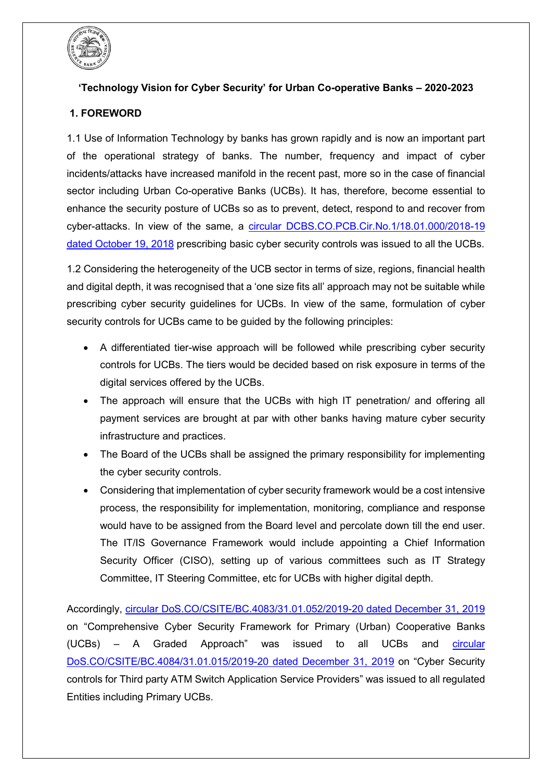

# **'Technology Vision for Cyber Security' for Urban Co-operative Banks – 2020-2023**

# **1. FOREWORD**

1.1 Use of Information Technology by banks has grown rapidly and is now an important part of the operational strategy of banks. The number, frequency and impact of cyber incidents/attacks have increased manifold in the recent past, more so in the case of financial sector including Urban Co-operative Banks (UCBs). It has, therefore, become essential to enhance the security posture of UCBs so as to prevent, detect, respond to and recover from cyber-attacks. In view of the same, a [circular DCBS.CO.PCB.Cir.No.1/18.01.000/2018-19](https://www.rbi.org.in/Scripts/NotificationUser.aspx?Id=11397&Mode=0)  [dated October 19, 2018](https://www.rbi.org.in/Scripts/NotificationUser.aspx?Id=11397&Mode=0) prescribing basic cyber security controls was issued to all the UCBs.

1.2 Considering the heterogeneity of the UCB sector in terms of size, regions, financial health and digital depth, it was recognised that a 'one size fits all' approach may not be suitable while prescribing cyber security guidelines for UCBs. In view of the same, formulation of cyber security controls for UCBs came to be guided by the following principles:

- A differentiated tier-wise approach will be followed while prescribing cyber security controls for UCBs. The tiers would be decided based on risk exposure in terms of the digital services offered by the UCBs.
- The approach will ensure that the UCBs with high IT penetration/ and offering all payment services are brought at par with other banks having mature cyber security infrastructure and practices.
- The Board of the UCBs shall be assigned the primary responsibility for implementing the cyber security controls.
- Considering that implementation of cyber security framework would be a cost intensive process, the responsibility for implementation, monitoring, compliance and response would have to be assigned from the Board level and percolate down till the end user. The IT/IS Governance Framework would include appointing a Chief Information Security Officer (CISO), setting up of various committees such as IT Strategy Committee, IT Steering Committee, etc for UCBs with higher digital depth.

Accordingly, [circular DoS.CO/CSITE/BC.4083/31.01.052/2019-20 dated December 31, 2019](https://www.rbi.org.in/Scripts/NotificationUser.aspx?Id=11772&Mode=0) on "Comprehensive Cyber Security Framework for Primary (Urban) Cooperative Banks (UCBs) – A Graded Approach" was issued to all UCBs and [circular](https://www.rbi.org.in/Scripts/NotificationUser.aspx?Id=11773&Mode=0)  [DoS.CO/CSITE/BC.4084/31.01.015/2019-20 dated December 31, 2019](https://www.rbi.org.in/Scripts/NotificationUser.aspx?Id=11773&Mode=0) on "Cyber Security controls for Third party ATM Switch Application Service Providers" was issued to all regulated Entities including Primary UCBs.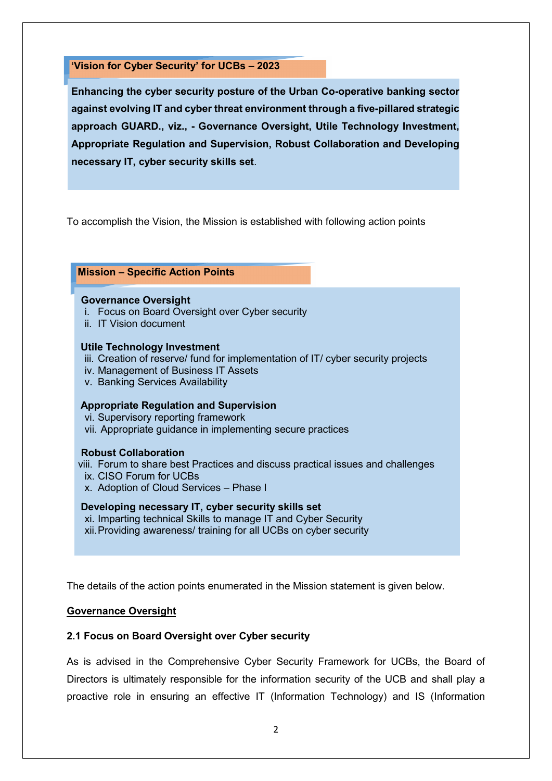**'Vision for Cyber Security' for UCBs – 2023**

**Enhancing the cyber security posture of the Urban Co-operative banking sector against evolving IT and cyber threat environment through a five-pillared strategic approach GUARD., viz., - Governance Oversight, Utile Technology Investment, Appropriate Regulation and Supervision, Robust Collaboration and Developing necessary IT, cyber security skills set**.

To accomplish the Vision, the Mission is established with following action points

### **Mission – Specific Action Points**

#### **Governance Oversight**

- i. Focus on Board Oversight over Cyber security
- ii. IT Vision document

#### **Utile Technology Investment**

- iii. Creation of reserve/ fund for implementation of IT/ cyber security projects
- iv. Management of Business IT Assets
- v. Banking Services Availability

### **Appropriate Regulation and Supervision**

vi. Supervisory reporting framework

vii. Appropriate guidance in implementing secure practices

### **Robust Collaboration**

- viii. Forum to share best Practices and discuss practical issues and challenges
	- ix. CISO Forum for UCBs
	- x. Adoption of Cloud Services Phase I

#### **Developing necessary IT, cyber security skills set**

- xi. Imparting technical Skills to manage IT and Cyber Security
- xii.Providing awareness/ training for all UCBs on cyber security

The details of the action points enumerated in the Mission statement is given below.

### **Governance Oversight**

### **2.1 Focus on Board Oversight over Cyber security**

As is advised in the Comprehensive Cyber Security Framework for UCBs, the Board of Directors is ultimately responsible for the information security of the UCB and shall play a proactive role in ensuring an effective IT (Information Technology) and IS (Information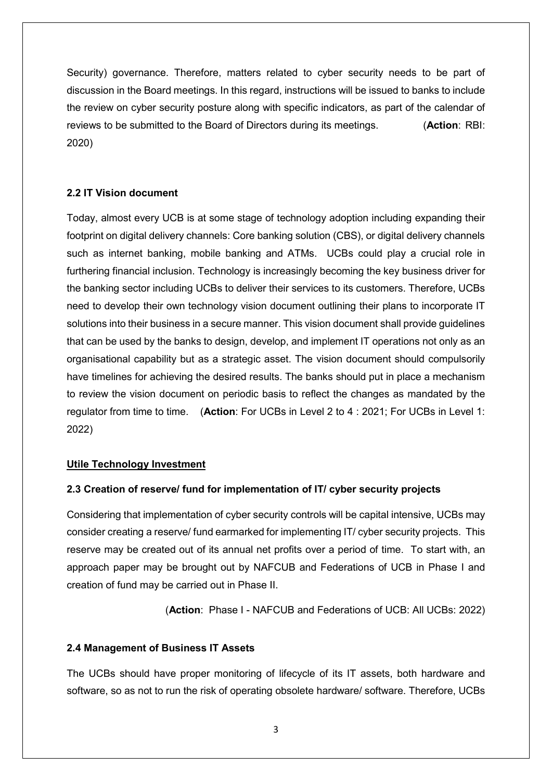Security) governance. Therefore, matters related to cyber security needs to be part of discussion in the Board meetings. In this regard, instructions will be issued to banks to include the review on cyber security posture along with specific indicators, as part of the calendar of reviews to be submitted to the Board of Directors during its meetings. (**Action**: RBI: 2020)

### **2.2 IT Vision document**

Today, almost every UCB is at some stage of technology adoption including expanding their footprint on digital delivery channels: Core banking solution (CBS), or digital delivery channels such as internet banking, mobile banking and ATMs. UCBs could play a crucial role in furthering financial inclusion. Technology is increasingly becoming the key business driver for the banking sector including UCBs to deliver their services to its customers. Therefore, UCBs need to develop their own technology vision document outlining their plans to incorporate IT solutions into their business in a secure manner. This vision document shall provide guidelines that can be used by the banks to design, develop, and implement IT operations not only as an organisational capability but as a strategic asset. The vision document should compulsorily have timelines for achieving the desired results. The banks should put in place a mechanism to review the vision document on periodic basis to reflect the changes as mandated by the regulator from time to time. (**Action**: For UCBs in Level 2 to 4 : 2021; For UCBs in Level 1: 2022)

### **Utile Technology Investment**

### **2.3 Creation of reserve/ fund for implementation of IT/ cyber security projects**

Considering that implementation of cyber security controls will be capital intensive, UCBs may consider creating a reserve/ fund earmarked for implementing IT/ cyber security projects. This reserve may be created out of its annual net profits over a period of time. To start with, an approach paper may be brought out by NAFCUB and Federations of UCB in Phase I and creation of fund may be carried out in Phase II.

(**Action**: Phase I - NAFCUB and Federations of UCB: All UCBs: 2022)

## **2.4 Management of Business IT Assets**

The UCBs should have proper monitoring of lifecycle of its IT assets, both hardware and software, so as not to run the risk of operating obsolete hardware/ software. Therefore, UCBs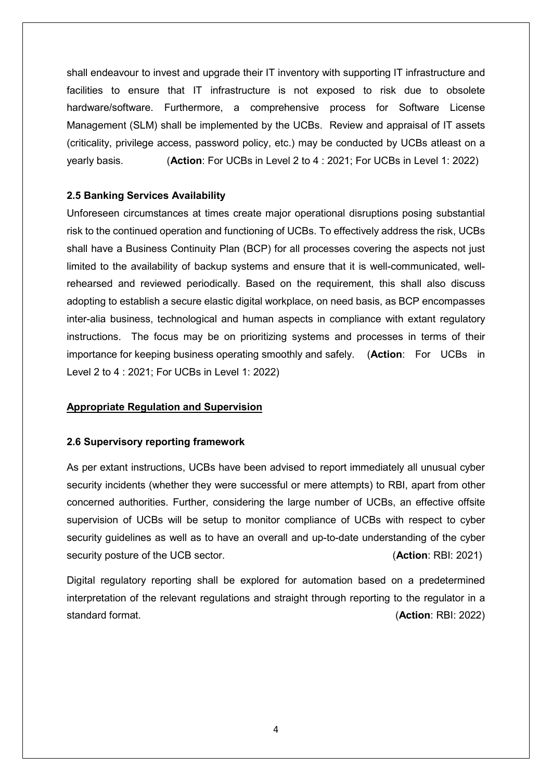shall endeavour to invest and upgrade their IT inventory with supporting IT infrastructure and facilities to ensure that IT infrastructure is not exposed to risk due to obsolete hardware/software. Furthermore, a comprehensive process for Software License Management (SLM) shall be implemented by the UCBs. Review and appraisal of IT assets (criticality, privilege access, password policy, etc.) may be conducted by UCBs atleast on a yearly basis. (**Action**: For UCBs in Level 2 to 4 : 2021; For UCBs in Level 1: 2022)

### **2.5 Banking Services Availability**

Unforeseen circumstances at times create major operational disruptions posing substantial risk to the continued operation and functioning of UCBs. To effectively address the risk, UCBs shall have a Business Continuity Plan (BCP) for all processes covering the aspects not just limited to the availability of backup systems and ensure that it is well-communicated, wellrehearsed and reviewed periodically. Based on the requirement, this shall also discuss adopting to establish a secure elastic digital workplace, on need basis, as BCP encompasses inter-alia business, technological and human aspects in compliance with extant regulatory instructions. The focus may be on prioritizing systems and processes in terms of their importance for keeping business operating smoothly and safely. (**Action**: For UCBs in Level 2 to 4 : 2021; For UCBs in Level 1: 2022)

### **Appropriate Regulation and Supervision**

### **2.6 Supervisory reporting framework**

As per extant instructions, UCBs have been advised to report immediately all unusual cyber security incidents (whether they were successful or mere attempts) to RBI, apart from other concerned authorities. Further, considering the large number of UCBs, an effective offsite supervision of UCBs will be setup to monitor compliance of UCBs with respect to cyber security guidelines as well as to have an overall and up-to-date understanding of the cyber security posture of the UCB sector. (**Action**: RBI: 2021)

Digital regulatory reporting shall be explored for automation based on a predetermined interpretation of the relevant regulations and straight through reporting to the regulator in a standard format. (**Action**: RBI: 2022)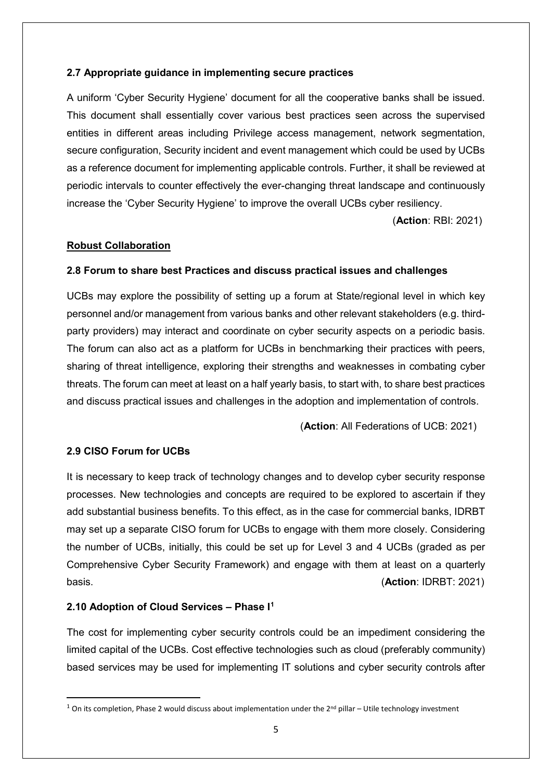### **2.7 Appropriate guidance in implementing secure practices**

A uniform 'Cyber Security Hygiene' document for all the cooperative banks shall be issued. This document shall essentially cover various best practices seen across the supervised entities in different areas including Privilege access management, network segmentation, secure configuration, Security incident and event management which could be used by UCBs as a reference document for implementing applicable controls. Further, it shall be reviewed at periodic intervals to counter effectively the ever-changing threat landscape and continuously increase the 'Cyber Security Hygiene' to improve the overall UCBs cyber resiliency.

(**Action**: RBI: 2021)

### **Robust Collaboration**

### **2.8 Forum to share best Practices and discuss practical issues and challenges**

UCBs may explore the possibility of setting up a forum at State/regional level in which key personnel and/or management from various banks and other relevant stakeholders (e.g. thirdparty providers) may interact and coordinate on cyber security aspects on a periodic basis. The forum can also act as a platform for UCBs in benchmarking their practices with peers, sharing of threat intelligence, exploring their strengths and weaknesses in combating cyber threats. The forum can meet at least on a half yearly basis, to start with, to share best practices and discuss practical issues and challenges in the adoption and implementation of controls.

(**Action**: All Federations of UCB: 2021)

## **2.9 CISO Forum for UCBs**

It is necessary to keep track of technology changes and to develop cyber security response processes. New technologies and concepts are required to be explored to ascertain if they add substantial business benefits. To this effect, as in the case for commercial banks, IDRBT may set up a separate CISO forum for UCBs to engage with them more closely. Considering the number of UCBs, initially, this could be set up for Level 3 and 4 UCBs (graded as per Comprehensive Cyber Security Framework) and engage with them at least on a quarterly basis. (**Action**: IDRBT: 2021)

## **2.10 Adoption of Cloud Services – Phase I[1](#page-4-0)**

The cost for implementing cyber security controls could be an impediment considering the limited capital of the UCBs. Cost effective technologies such as cloud (preferably community) based services may be used for implementing IT solutions and cyber security controls after

<span id="page-4-0"></span> $1$  On its completion, Phase 2 would discuss about implementation under the  $2^{nd}$  pillar – Utile technology investment